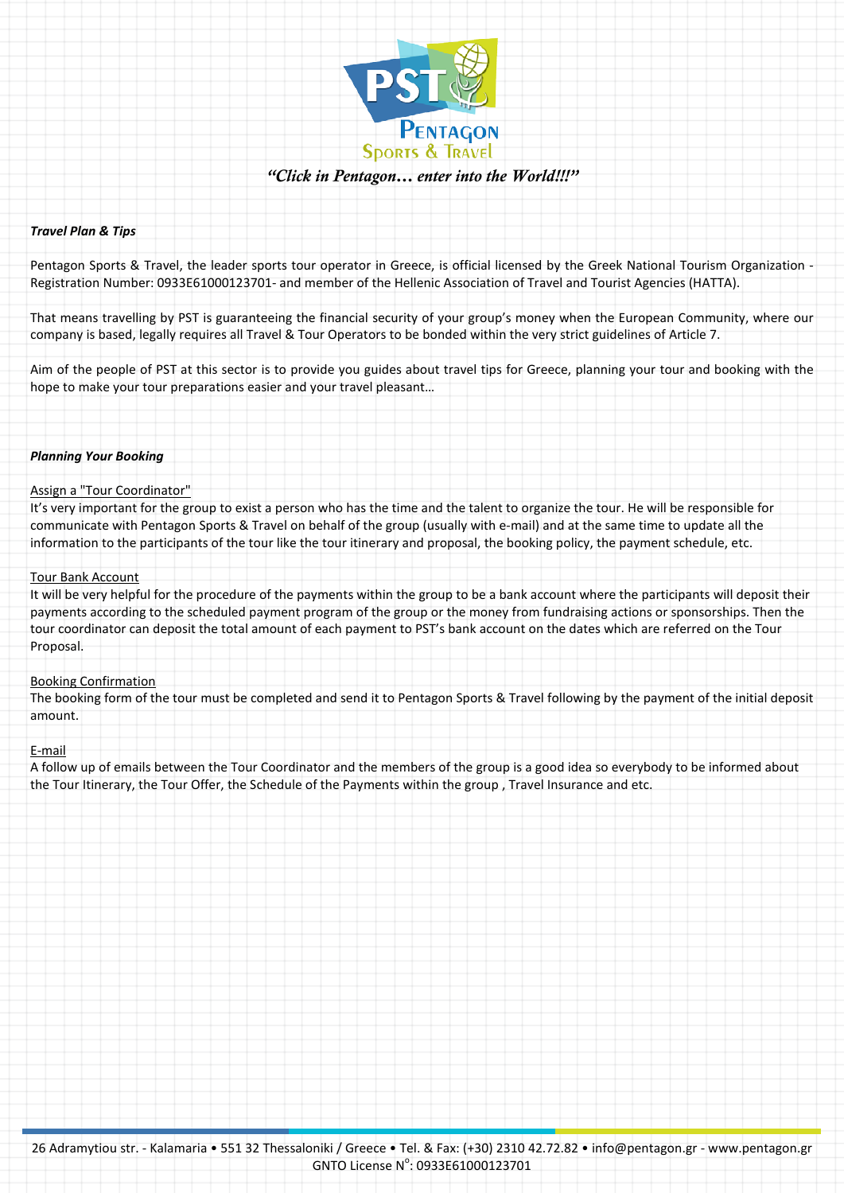

# *"Click in Pentagon… enter into the World!!!"*

# *Travel Plan & Tips*

Pentagon Sports & Travel, the leader sports tour operator in Greece, is official licensed by the Greek National Tourism Organization - Registration Number: 0933E61000123701- and member of the Hellenic Association of Travel and Tourist Agencies (HATTA).

That means travelling by PST is guaranteeing the financial security of your group's money when the European Community, where our company is based, legally requires all Travel & Tour Operators to be bonded within the very strict guidelines of Article 7.

Aim of the people of PST at this sector is to provide you guides about travel tips for Greece, planning your tour and booking with the hope to make your tour preparations easier and your travel pleasant…

## *Planning Your Booking*

# Assign a "Tour Coordinator"

It's very important for the group to exist a person who has the time and the talent to organize the tour. He will be responsible for communicate with Pentagon Sports & Travel on behalf of the group (usually with e-mail) and at the same time to update all the information to the participants of the tour like the tour itinerary and proposal, the booking policy, the payment schedule, etc.

## Tour Bank Account

It will be very helpful for the procedure of the payments within the group to be a bank account where the participants will deposit their payments according to the scheduled payment program of the group or the money from fundraising actions or sponsorships. Then the tour coordinator can deposit the total amount of each payment to PST's bank account on the dates which are referred on the Tour Proposal.

# Booking Confirmation

The booking form of the tour must be completed and send it to Pentagon Sports & Travel following by the payment of the initial deposit amount.

# E-mail

A follow up of emails between the Tour Coordinator and the members of the group is a good idea so everybody to be informed about the Tour Itinerary, the Tour Offer, the Schedule of the Payments within the group , Travel Insurance and etc.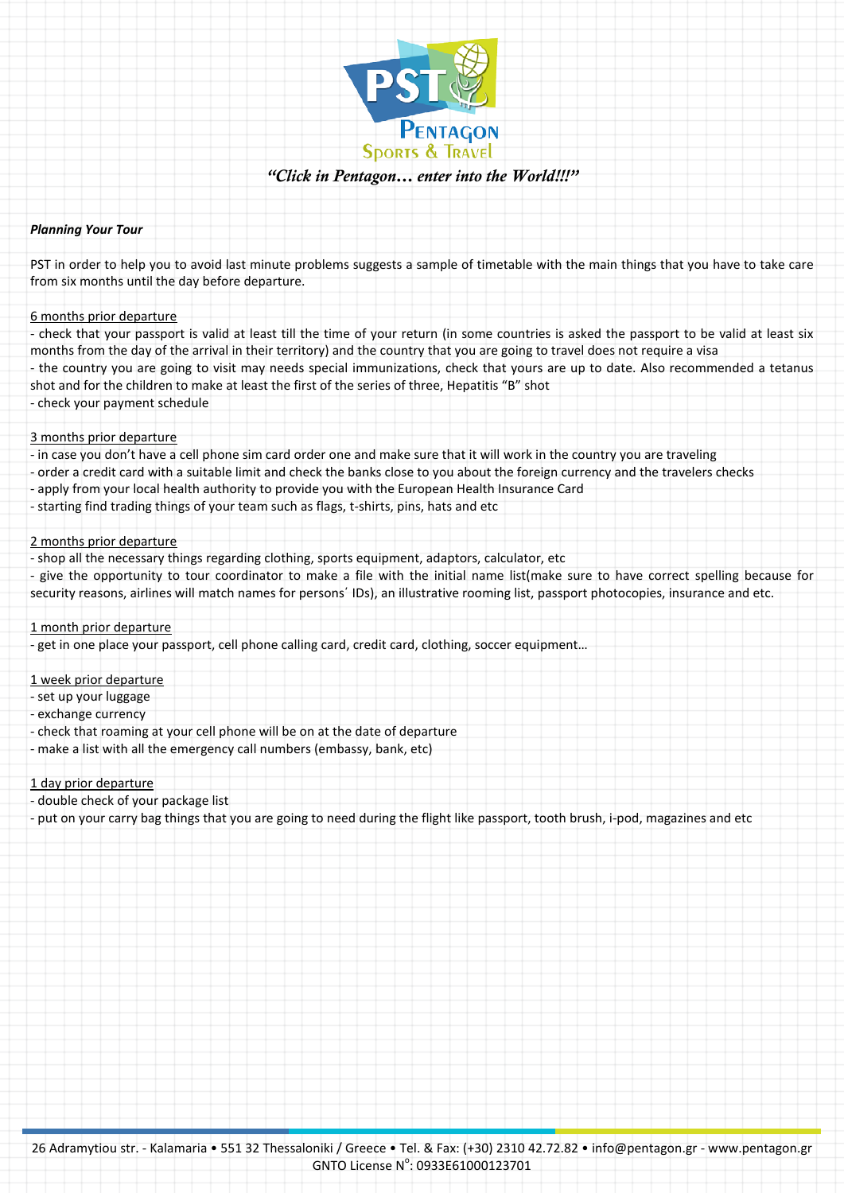

# *"Click in Pentagon… enter into the World!!!"*

## *Planning Your Tour*

PST in order to help you to avoid last minute problems suggests a sample of timetable with the main things that you have to take care from six months until the day before departure.

## 6 months prior departure

- check that your passport is valid at least till the time of your return (in some countries is asked the passport to be valid at least six months from the day of the arrival in their territory) and the country that you are going to travel does not require a visa

- the country you are going to visit may needs special immunizations, check that yours are up to date. Also recommended a tetanus shot and for the children to make at least the first of the series of three, Hepatitis "B" shot

- check your payment schedule

## 3 months prior departure

- in case you don't have a cell phone sim card order one and make sure that it will work in the country you are traveling
- order a credit card with a suitable limit and check the banks close to you about the foreign currency and the travelers checks
- apply from your local health authority to provide you with the European Health Insurance Card
- starting find trading things of your team such as flags, t-shirts, pins, hats and etc

# 2 months prior departure

- shop all the necessary things regarding clothing, sports equipment, adaptors, calculator, etc
- give the opportunity to tour coordinator to make a file with the initial name list(make sure to have correct spelling because for security reasons, airlines will match names for persons΄ IDs), an illustrative rooming list, passport photocopies, insurance and etc.

## 1 month prior departure

- get in one place your passport, cell phone calling card, credit card, clothing, soccer equipment…

## 1 week prior departure

- set up your luggage
- exchange currency
- check that roaming at your cell phone will be on at the date of departure
- make a list with all the emergency call numbers (embassy, bank, etc)

# 1 day prior departure

- double check of your package list
- put on your carry bag things that you are going to need during the flight like passport, tooth brush, i-pod, magazines and etc